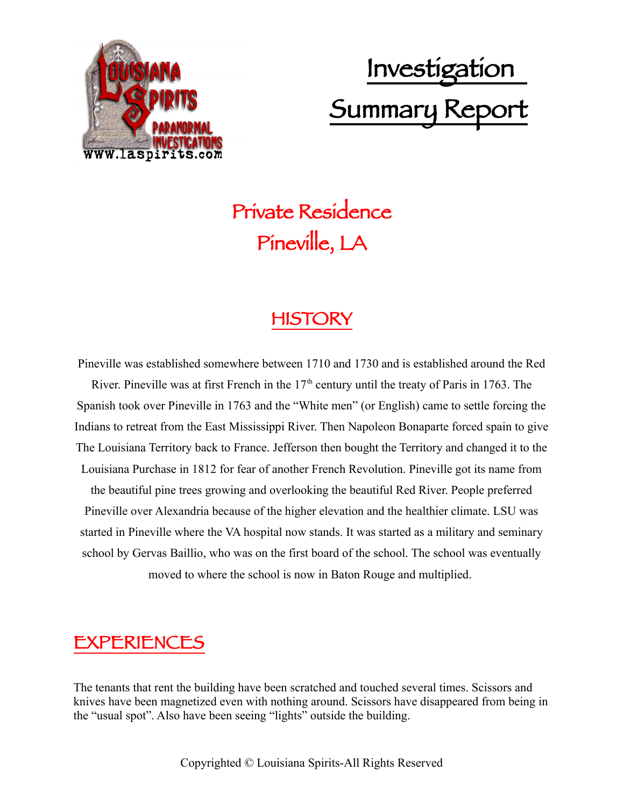

# Investigation Summary Report

## Private Residence Pineville, LA

### HISTORY

Pineville was established somewhere between 1710 and 1730 and is established around the Red River. Pineville was at first French in the  $17<sup>th</sup>$  century until the treaty of Paris in 1763. The Spanish took over Pineville in 1763 and the "White men" (or English) came to settle forcing the Indians to retreat from the East Mississippi River. Then Napoleon Bonaparte forced spain to give The Louisiana Territory back to France. Jefferson then bought the Territory and changed it to the Louisiana Purchase in 1812 for fear of another French Revolution. Pineville got its name from the beautiful pine trees growing and overlooking the beautiful Red River. People preferred Pineville over Alexandria because of the higher elevation and the healthier climate. LSU was started in Pineville where the VA hospital now stands. It was started as a military and seminary school by Gervas Baillio, who was on the first board of the school. The school was eventually moved to where the school is now in Baton Rouge and multiplied.

### EXPERIENCES

The tenants that rent the building have been scratched and touched several times. Scissors and knives have been magnetized even with nothing around. Scissors have disappeared from being in the "usual spot". Also have been seeing "lights" outside the building.